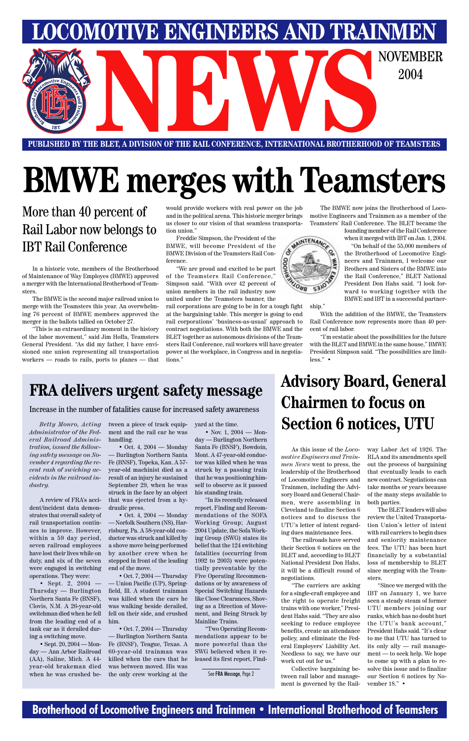### **Brotherhood of Locomotive Engineers and Trainmen • International Brotherhood of Teamsters**

**PUBLISHED BY THE BLET, A DIVISION OF THE RAIL CONFERENCE, INTERNATIONAL BROTHERHOOD OF TEAMSTERS** E BLET, A DIVISION OF THE RAIL CONFERENCE, INTERNATIONAL BROTHERHOOD OF TEAMSTERS

**LOCOMOTIVE ENGINEERS AND TRAINMEN**

2004

# **BMWE merges with Teamsters**

More than 40 percent of Rail Labor now belongs to IBT Rail Conference

In a historic vote, members of the Brotherhood of Maintenance of Way Employes (BMWE) approved a merger with the International Brotherhood of Teamsters.

The BMWE is the second major railroad union to merge with the Teamsters this year. An overwhelming 76 percent of BMWE members approved the merger in the ballots tallied on October 27.

"This is an extraordinary moment in the history of the labor movement," said Jim Hoffa, Teamsters General President. "As did my father, I have envisioned one union representing all transportation workers — roads to rails, ports to planes — that would provide workers with real power on the job and in the political arena. This historic merger brings us closer to our vision of that seamless transportation union."

Freddie Simpson, the President of the BMWE, will become President of the BMWE Division of the Teamsters Rail Conference.

"We are proud and excited to be part of the Teamsters Rail Conference," Simpson said. "With over 42 percent of union members in the rail industry now united under the Teamsters banner, the

rail corporations are going to be in for a tough fight at the bargaining table. This merger is going to end rail corporations' 'business-as-usual' approach to contract negotiations. With both the BMWE and the BLET together as autonomous divisions of the Teamsters Rail Conference, rail workers will have greater power at the workplace, in Congress and in negotiations."

• Sept. 20, 2004 — Monday — Ann Arbor Railroad (AA), Saline, Mich. A 44 year-old brakeman died when he was crushed be-

The BMWE now joins the Brotherhood of Locomotive Engineers and Trainmen as a member of the Teamsters' Rail Conference. The BLET became the

• Oct. 4, 2004 — Monday — Burlington Northern Santa Fe (BNSF), Topeka, Kan. A 57 year-old machinist died as a result of an injury he sustained September 29, when he was struck in the face by an object that was ejected from a hydraulic press.

founding member of the Rail Conference when it merged with IBT on Jan. 1, 2004.

• Oct. 4,  $2004$  — Monday — Norfolk Southern (NS), Harrisburg, Pa. A 58-year-old conductor was struck and killed by a shove move being performed by another crew when he stepped in front of the leading end of the move.

"On behalf of the 55,000 members of

the Brotherhood of Locomotive Engineers and Trainmen, I welcome our Brothers and Sisters of the BMWE into the Rail Conference," BLET National President Don Hahs said. "I look forward to working together with the BMWE and IBT in a successful partner-

• Nov. 1, 2004 — Monday — Burlington Northern Santa Fe (BNSF), Bowdoin, Mont. A 47-year-old conductor was killed when he was struck by a passing train that he was positioning himself to observe as it passed his standing train.

ship."

With the addition of the BMWE, the Teamsters Rail Conference now represents more than 40 percent of rail labor.

"I'm ecstatic about the possibilities for the future with the BLET and BMWE in the same house," BMWE President Simpson said. "The possibilities are limitless." •

*Betty Monro, Acting Administrator of the Federal Railroad Administration, issued the following safety message on November 4 regarding the recent rash of swiching accidents in the railroad industry.*

A review of FRA's accident/incident data demonstrates that overall safety of rail transportation continues to improve. However, within a 59 day period, seven railroad employees have lost their lives while on duty, and six of the seven were engaged in switching operations. They were:

• Sept. 2, 2004 — Thursday — Burlington Northern Santa Fe (BNSF), Clovis, N.M. A 26-year-old switchman died when he fell from the leading end of a tank car as it derailed during a switching move.

tween a piece of track equipment and the rail car he was handling.

• Oct. 7, 2004 — Thursday — Union Pacific (UP), Springfield, Ill. A student trainman was killed when the cars he was walking beside derailed, fell on their side, and crushed him.

• Oct. 7, 2004 — Thursday — Burlington Northern Santa Fe (BNSF), Teague, Texas. A 60-year-old trainman was killed when the cars that he was between moved. His was the only crew working at the

yard at the time.

"In its recently released report, Finding and Recommendations of the SOFA Working Group; August 2004 Update, the Sofa Working Group (SWG) states its belief that the 124 switching fatalities (occurring from 1992 to 2003) were potentially preventable by the Five Operating Recommendations or by awareness of Special Switching Hazards like Close Clearances, Shoving as a Direction of Movement, and Being Struck by Mainline Trains. "Two Operating Recommendations appear to be more powerful than the SWG believed when it released its first report, Find-

Increase in the number of fatalities cause for increased safety awareness

### **FRA delivers urgent safety message**

See FRA Message, Page 2

## **Advisory Board, General Chairmen to focus on Section 6 notices, UTU**

As this issue of the *Locomotive Engineers and Trainmen News* went to press, the leadership of the Brotherhood of Locomotive Engineers and Trainmen, including the Advisory Board and General Chairmen, were assembling in Cleveland to finalize Section 6 notices and to discuss the UTU's letter of intent regarding dues maintenance fees.

The railroads have served

their Section 6 notices on the BLET and, according to BLET National President Don Hahs, it will be a difficult round of negotiations.

"The carriers are asking for a single-craft employee and the right to operate freight trains with one worker," President Hahs said. "They are also seeking to reduce employee benefits, create an attendance policy, and eliminate the Federal Employers' Liability Act. Needless to say, we have our work cut out for us."

Collective bargaining between rail labor and management is governed by the Railway Labor Act of 1926. The RLA and its amendments spell out the process of bargaining that eventually leads to each new contract. Negotiations can take months or years because of the many steps available to both parties.

The BLET leaders will also review the United Transportation Union's letter of intent with rail carriers to begin dues and seniority maintenance fees. The UTU has been hurt financially by a substantial loss of membership to BLET since merging with the Teamsters. "Since we merged with the IBT on January 1, we have seen a steady steam of former UTU members joining our ranks, which has no doubt hurt the UTU's bank account," President Hahs said. "It's clear to me that UTU has turned to its only ally — rail management — to seek help. We hope to come up with a plan to resolve this issue and to finalize our Section 6 notices by November 18." •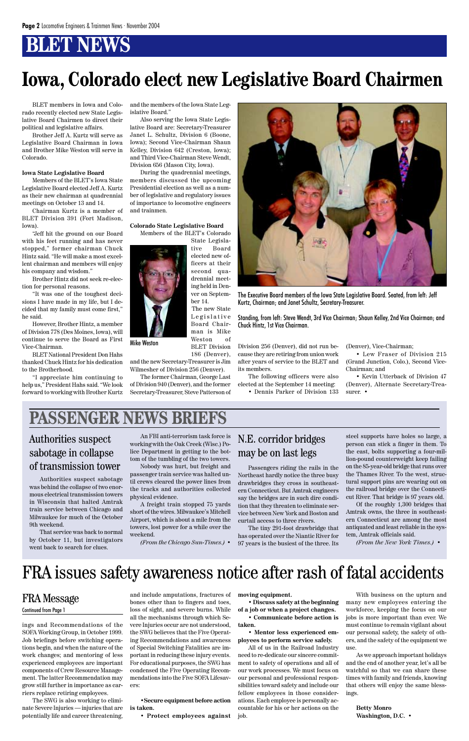### **BLET NEWS**

ings and Recommendations of the SOFA Working Group, in October 1999. Job briefings before switching operations begin, and when the nature of the work changes; and mentoring of less experienced employees are important components of Crew Resource Management. The latter Recommendation may grow still further in importance as carriers replace retiring employees.

The SWG is also working to eliminate Severe Injuries — injuries that are potentially life and career threatening,

and include amputations, fractures of bones other than to fingers and toes, loss of sight, and severe burns. While all the mechanisms through which Severe Injuries occur are not understood, the SWG believes that the Five Operating Recommendations and awareness of Special Switching Fatalities are important in reducing these injury events. For educational purposes, the SWG has condensed the Five Operating Recommendations into the Five SOFA Lifesavers:

**•Secure equipment before action is taken.**

**• Protect employees against**

### FRA Message Continued from Page 1

**moving equipment.**

**• Discuss safety at the beginning of a job or when a project changes.**

**• Communicate before action is taken.**

**• Mentor less experienced employees to perform service safely.**

All of us in the Railroad Industry need to re-dedicate our sincere commitment to safety of operations and all of our work processes. We must focus on our personal and professional responsibilities toward safety and include our fellow employees in those considerations. Each employee is personally accountable for his or her actions on the job.

With business on the upturn and many new employees entering the workforce, keeping the focus on our jobs is more important than ever. We must continue to remain vigilant about our personal safety, the safety of others, and the safety of the equipment we use.

As we approach important holidays and the end of another year, let's all be watchful so that we can share these times with family and friends, knowing that others will enjoy the same blessings.

**Betty Monro Washington, D.C.** •

### FRA issues safety awareness notice after rash of fatal accidents



The Executive Board members of the Iowa State Legislative Board. Seated, from left: Jeff Kurtz, Chairman; and Janet Schultz, Secretary-Treasurer.

Mike Weston Weston Division Division 256 (Denver), did not run because they are retiring from union work after years of service to the BLET and its members.

Standing, from left: Steve Wendt, 3rd Vice Chairman; Shaun Kelley, 2nd Vice Chairman; and Chuck Hintz, 1st Vice Chairman.

BLET members in Iowa and Colorado recently elected new State Legislative Board Chairmen to direct their political and legislative affairs.

Brother Jeff A. Kurtz will serve as Legislative Board Chairman in Iowa and Brother Mike Weston will serve in Colorado.

#### **Iowa State Legislative Board**

Members of the BLET's Iowa State Legislative Board elected Jeff A. Kurtz as their new chairman at quadrennial meetings on October 13 and 14.

Chairman Kurtz is a member of BLET Division 391 (Fort Madison, Iowa).

"Jeff hit the ground on our Board with his feet running and has never stopped," former chairman Chuck Hintz said. "He will make a most excellent chairman and members will enjoy his company and wisdom."

Brother Hintz did not seek re-election for personal reasons.

"It was one of the toughest decisions I have made in my life, but I decided that my family must come first," he said.

However, Brother Hintz, a member of Division 778 (Des Moines, Iowa), will continue to serve the Board as First Vice-Chairman.

BLET National President Don Hahs thanked Chuck Hintz for his dedication to the Brotherhood.

"I appreciate him continuing to help us," President Hahs said. "We look forward to working with Brother Kurtz and the members of the Iowa State Legislative Board."

Also serving the Iowa State Legislative Board are: Secretary-Treasurer Janet L. Schultz, Division 6 (Boone, Iowa); Second Vice-Chairman Shaun Kelley, Division 642 (Creston, Iowa); and Third Vice-Chairman Steve Wendt, Division 656 (Mason City, Iowa).

During the quadrennial meetings, members discussed the upcoming Presidential election as well as a number of legislative and regulatory issues of importance to locomotive engineers and trainmen.

#### **Colorado State Legislative Board**

Members of the BLET's Colorado State Legisla-



Board Chairman is Mike Weston of BLET Division

186 (Denver), and the new Secretary-Treasurer is Jim Wilmesher of Division 256 (Denver).

The former Chairman, George Last of Division 940 (Denver), and the former Secretary-Treasurer, Steve Patterson of

The following officers were also elected at the September 14 meeting:

• Dennis Parker of Division 133

(Denver), Vice-Chairman;

• Lew Fraser of Division 215 (Grand Junction, Colo.), Second Vice-Chairman; and

• Kevin Utterback of Division 47 (Denver), Alternate Secretary-Treasurer. •

## **Iowa, Colorado elect new Legislative Board Chairmen**

### **PASSENGER NEWS BRIEFS**

Authorities suspect sabotage was behind the collapse of two enormous electrical transmission towers in Wisconsin that halted Amtrak train service between Chicago and Milwaukee for much of the October 9th weekend.

That service was back to normal by October 11, but investigators

### Authorities suspect sabotage in collapse of transmission tower

An FBI anti-terrorism task force is working with the Oak Creek (Wisc.) Police Department in getting to the bottom of the tumbling of the two towers.

Nobody was hurt, but freight and passenger train service was halted until crews cleared the power lines from the tracks and authorities collected physical evidence.

A freight train stopped 75 yards short of the wires. Milwaukee's Mitchell Airport, which is about a mile from the towers, lost power for a while over the weekend.

*(From the Chicago Sun-Times.)* •

Passengers riding the rails in the Northeast hardly notice the three busy drawbridges they cross in southeastern Connecticut. But Amtrak engineers say the bridges are in such dire condition that they threaten to eliminate service between New York and Boston and curtail access to three rivers.

The tiny 291-foot drawbridge that has operated over the Niantic River for 97 years is the busiest of the three. Its

### N.E. corridor bridges may be on last legs

steel supports have holes so large, a person can stick a finger in them. To the east, bolts supporting a four-million-pound counterweight keep failing on the 85-year-old bridge that runs over the Thames River. To the west, structural support pins are wearing out on the railroad bridge over the Connecticut River. That bridge is 97 years old.

Of the roughly 1,300 bridges that Amtrak owns, the three in southeastern Connecticut are among the most antiquated and least reliable in the system, Amtrak officials said.

*(From the New York Times.)* •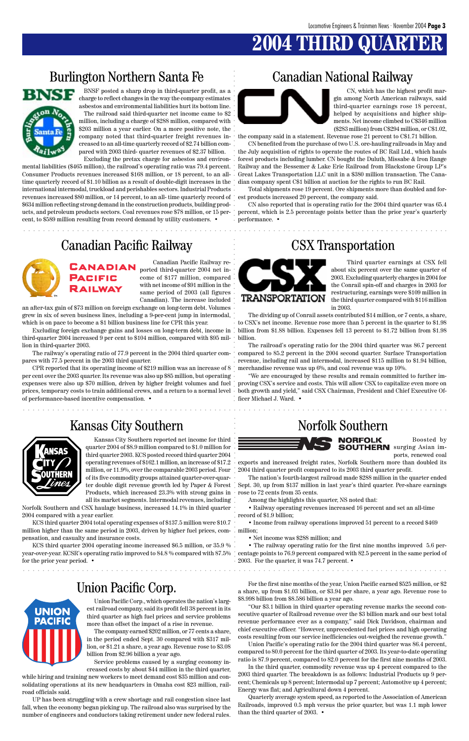## **2004 THIRD QUA**

### Burlington Northern Santa Fe Canadian National Railway



### Union Pacific Corp.

aaaaaaaaaaaaaaaaaaaaaaaaaaaaaaaaaaaaaaaaaaaaaaaaaaaaaaaaaaaaaaaaaaaaaaaaaaaaaaaaaaaaaaa

aaaaaaaaaaaaaaaaaaaaaaaaaaaaaaaaaaaaaaaaaaaaaaaaaaaaaaaaaaaaaaaaaaaaaaaaaaaaaaaaaaaaaaa

BNSF posted a sharp drop in third-quarter profit, as a charge to reflect changes in the way the company estimates asbestos and environmental liabilities hurt its bottom line. The railroad said third-quarter net income came to \$2 million, including a charge of \$288 million, compared with \$203 million a year earlier. On a more positive note, the company noted that third-quarter freight revenues increased to an all-time quarterly record of \$2.74 billion compared with 2003 third- quarter revenues of \$2.37 billion.

aaaaaaaaaaaaaaaaaaaaaaaaaaaaaaaaaaaaaaaaaaaaaaaaaaaaaaaaaaaaaaaaa aaaaaaaaaaaaaaaaaaaaaa aaaaaaaaaaaaaaaaaaaaaaaaaaaaaaa aaaaaaaaaaaaaaaaaaaaa aaaaaaaaa aaaaaaaaaaaaaaaa aaaaaaaaaaaaaaaaaa Excluding the pretax charge for asbestos and environmental liabilities (\$465 million), the railroad's operating ratio was 79.4 percent. Consumer Products revenues increased \$168 million, or 18 percent, to an alltime quarterly record of \$1.10 billion as a result of double-digit increases in the international intermodal, truckload and perishables sectors. Industrial Products revenues increased \$80 million, or 14 percent, to an all- time quarterly record of  $\; \cdot \;$  est products increased 20 percent, the company said. \$634 million reflecting strong demand in the construction products, building products, and petroleum products sectors. Coal revenues rose \$78 million, or 15 per- percent, which is 2.5 percentage points better than the prior year's quarterly cent, to \$589 million resulting from record demand by utility customers. •



CN, which has the highest profit margin among North American railways, said third-quarter earnings rose 18 percent, helped by acquisitions and higher shipments. Net income climbed to C\$346 million (\$283 million) from C\$294 million, or C\$1.02,

the company said in a statement. Revenue rose 21 percent to C\$1.71 billion.

CN benefited from the purchase of two U.S. ore-hauling railroads in May and the July acquisition of rights to operate the routes of BC Rail Ltd., which hauls forest products including lumber. CN bought the Duluth, Missabe & Iron Range Railway and the Bessemer & Lake Erie Railroad from Blackstone Group LP's Great Lakes Transportation LLC unit in a \$380 million transaction. The Canadian company spent C\$1 billion at auction for the rights to run BC Rail.

Total shipments rose 19 percent. Ore shipments more than doubled and for-

CN also reported that is operating ratio for the 2004 third quarter was 65.4 performance. •

### Canadian Pacific Railway CSX Transportation



Canadian Pacific Railway reported third-quarter 2004 net income of \$177 million, compared with net income of \$91 million in the same period of 2003 (all figures Canadian). The increase included

an after-tax gain of \$73 million on foreign exchange on long-term debt. Volumes grew in six of seven business lines, including a 9-per-cent jump in intermodal, which is on pace to become a \$1 billion business line for CPR this year.

Excluding foreign exchange gains and losses on long-term debt, income in third-quarter 2004 increased 9 per cent to \$104 million, compared with \$95 million in third-quarter 2003.

The railway's operating ratio of 77.9 percent in the 2004 third quarter compares with 77.5 percent in the 2003 third quarter.

CPR reported that its operating income of \$219 million was an increase of 8 per cent over the 2003 quarter. Its revenue was also up \$85 million, but operating expenses were also up \$70 million, driven by higher freight volumes and fuel proving CSX's service and costs. This will allow CSX to capitalize even more on prices, temporary costs to train additional crews, and a return to a normal level of performance-based incentive compensation. •

### Kansas City Southern Norfolk Southern



Third quarter earnings at CSX fell about six percent over the same quarter of 2003. Excluding quarterly charges in 2004 for the Conrail spin-off and charges in 2003 for restructuring, earnings were \$109 million in the third quarter compared with \$116 million in 2003.

The dividing up of Conrail assets contributed \$14 million, or 7 cents, a share, to CSX's net income. Revenue rose more than 5 percent in the quarter to \$1.98 billion from \$1.88 billion. Expenses fell 13 percent to \$1.72 billion from \$1.98 billion.

The railroad's operating ratio for the 2004 third quarter was 86.7 percent compared to 85.2 percent in the 2004 second quarter. Surface Transportation revenue, including rail and intermodal, increased \$115 million to \$1.94 billion, merchandise revenue was up 6%, and coal revenue was up 10%.

"We are encouraged by these results and remain committed to further imboth growth and yield," said CSX Chairman, President and Chief Executive Officer Michael J. Ward. •



Kansas City Southern reported net income for third quarter 2004 of \$8.9 million compared to \$1.0 million for third quarter 2003. KCS posted record third quarter 2004 operating revenues of \$162.1 million, an increase of \$17.2 million, or 11.9%, over the comparable 2003 period. Four of its five commodity groups attained quarter-over-quarter double digit revenue growth led by Paper & Forest Products, which increased 23.3% with strong gains in all its market segments. Intermodal revenues, including

Norfolk Southern and CSX haulage business, increased 14.1% in third quarter 2004 compared with a year earlier.

KCS third quarter 2004 total operating expenses of \$137.5 million were \$10.7 million higher than the same period in 2003, driven by higher fuel prices, com-million; pensation, and casualty and insurance costs.

KCS third quarter 2004 operating income increased \$6.5 million, or 35.9 % • The railway operating ratio for the first nine months improved 5.6 peryear-over-year. KCSR's operating ratio improved to 84.8 % compared with 87.5% centage points to 76.9 percent compared with 82.5 percent in the same period of for the prior year period. •



Boosted by surging Asian imports, renewed coal

exports and increased freight rates, Norfolk Southern more than doubled its 2004 third quarter profit compared to its 2003 third quarter profit.

The nation's fourth-largest railroad made \$288 million in the quarter ended Sept. 30, up from \$137 million in last year's third quarter. Per-share earnings rose to 72 cents from 35 cents.

Among the highlights this quarter, NS noted that:

• Railway operating revenues increased 16 percent and set an all-time record of \$1.9 billion;

• Income from railway operations improved 51 percent to a record \$469

• Net income was \$288 million; and

**UNION PACIFIC**  2003. For the quarter, it was 74.7 percent. •

Union Pacific Corp., which operates the nation's largest railroad company, said its profit fell 38 percent in its third quarter as high fuel prices and service problems more than offset the impact of a rise in revenue.

The company earned \$202 million, or 77 cents a share, in the period ended Sept. 30 compared with \$317 million, or \$1.21 a share, a year ago. Revenue rose to \$3.08 billion from \$2.96 billion a year ago.

Service problems caused by a surging economy increased costs by about \$44 million in the third quarter,

while hiring and training new workers to meet demand cost \$35 million and consolidating operations at its new headquarters in Omaha cost \$23 million, railroad officials said.

UP has been struggling with a crew shortage and rail congestion since last fall, when the economy began picking up. The railroad also was surprised by the number of engineers and conductors taking retirement under new federal rules.

For the first nine months of the year, Union Pacific earned \$525 million, or \$2 a share, up from \$1.03 billion, or \$3.94 per share, a year ago. Revenue rose to \$8.998 billion from \$8.586 billion a year ago.

"Our \$3.1 billion in third quarter operating revenue marks the second consecutive quarter of Railroad revenue over the \$3 billion mark and our best total revenue performance ever as a company," said Dick Davidson, chairman and chief executive officer. "However, unprecedented fuel prices and high operating costs resulting from our service inefficiencies out-weighed the revenue growth."

Union Pacific's operating ratio for the 2004 third quarter was 86.4 percent, compared to 80.0 percent for the third quarter of 2003. Its year-to-date operating ratio is 87.9 percent, compared to 82.0 percent for the first nine months of 2003.

In the third quarter, commodity revenue was up 4 percent compared to the 2003 third quarter. The breakdown is as follows: Industrial Products up 9 percent; Chemicals up 8 percent; Intermodal up 7 percent; Automotive up 4 percent; Energy was flat; and Agricultural down 4 percent.

Quarterly average system speed, as reported to the Association of American Railroads, improved 0.5 mph versus the prior quarter, but was 1.1 mph lower than the third quarter of 2003. •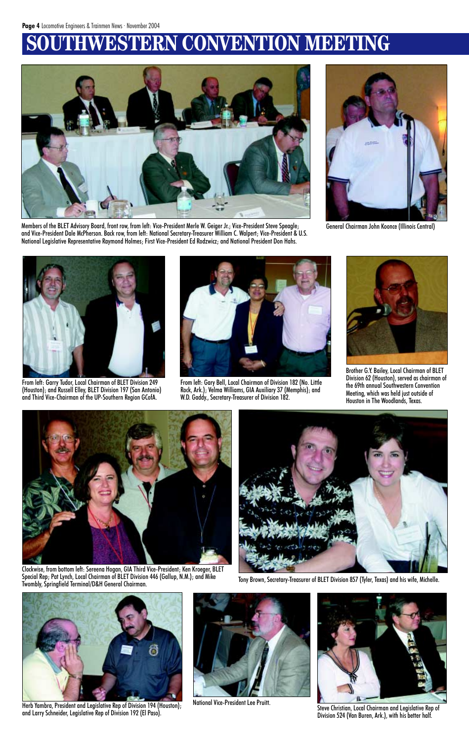## **WESTERN CONVENTION MEETING**



Members of the BLET Advisory Board, front row, from left: Vice-President Merle W. Geiger Jr.; Vice-President Steve Speagle; and Vice-President Dale McPherson. Back row, from left: National Secretary-Treasurer William C. Walpert; Vice-President & U.S. National Legislative Representative Raymond Holmes; First Vice-President Ed Rodzwicz; and National President Don Hahs.



From left: Garry Tudor, Local Chairman of BLET Division 249 (Houston); and Russell Elley, BLET Division 197 (San Antonio) and Third Vice-Chairman of the UP-Southern Region GCofA.



General Chairman John Koonce (Illinois Central)



From left: Gary Bell, Local Chairman of Division 182 (No. Little Rock, Ark.); Velma Williams, GIA Auxiliary 37 (Memphis); and W.D. Gaddy., Secretary-Treasurer of Division 182.



National Vice-President Lee Pruitt. Steve Christian, Local Chairman and Legislative Rep of Division 524 (Van Buren, Ark.), with his better half.



Brother G.Y. Bailey, Local Chairman of BLET Division 62 (Houston), served as chairman of the 69th annual Southwestern Convention Meeting, which was held just outside of Houston in The Woodlands, Texas.



Special Rep; Pat Lynch, Local Chairman of BLET Division 446 (Gallup, N.M.); and Mike

Tony Brown, Secretary-Treasurer of BLET Division 857 (Tyler, Texas) and his wife, Michelle.



Herb Yambra, President and Legislative Rep of Division 194 (Houston); and Larry Schneider, Legislative Rep of Division 192 (El Paso).

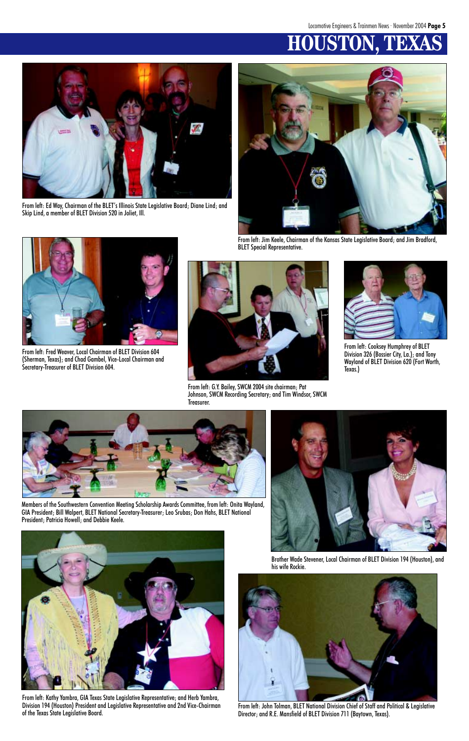## **HOUSTON. T**



From left: Ed Way, Chairman of the BLET's Illinois State Legislative Board; Diane Lind; and Skip Lind, a member of BLET Division 520 in Joliet, Ill.



From left: Jim Keele, Chairman of the Kansas State Legislative Board; and Jim Bradford, BLET Special Representative.



From left: Fred Weaver, Local Chairman of BLET Division 604 (Sherman, Texas); and Chad Gambel, Vice-Local Chairman and Secretary-Treasurer of BLET Division 604.



From left: Kathy Yambra, GIA Texas State Legislative Representative; and Herb Yambra, Division 194 (Houston) President and Legislative Representative and 2nd Vice-Chairman From left: John Tolman, BLET National Division Chief of Staff and Political & Legislative<br>Of the Texas State Legislative Board.



From left: G.Y. Bailey, SWCM 2004 site chairman; Pat Johnson, SWCM Recording Secretary; and Tim Windsor, SWCM Treasurer.



From left: Cooksey Humphrey of BLET Division 326 (Bossier City, La.); and Tony Wayland of BLET Division 620 (Fort Worth, Texas.)



Members of the Southwestern Convention Meeting Scholarship Awards Committee, from left: Onita Wayland, GIA President; Bill Walpert, BLET National Secretary-Treasurer; Leo Srubas; Don Hahs, BLET National President; Patricia Howell; and Debbie Keele.



Brother Wade Stevener, Local Chairman of BLET Division 194 (Houston), and his wife Rockie.



Director; and R.E. Mansfield of BLET Division 711 (Baytown, Texas).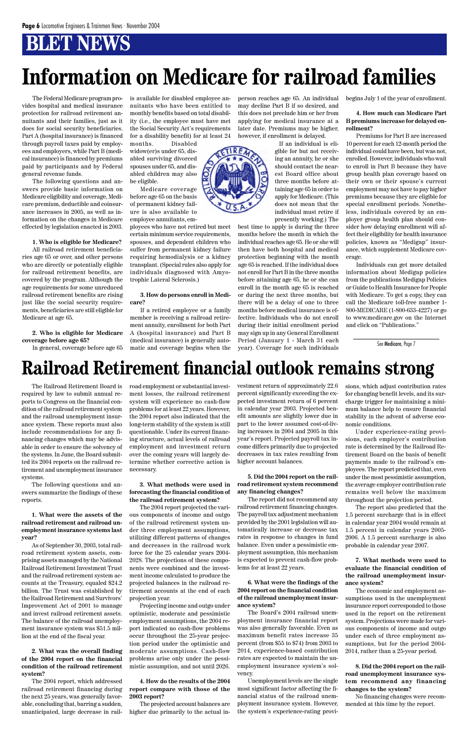## **BLET NEWS**

## **Railroad Retirement financial outlook remains strong**

The Railroad Retirement Board is required by law to submit annual reports to Congress on the financial condition of the railroad retirement system and the railroad unemployment insurance system. These reports must also include recommendations for any financing changes which may be advisable in order to ensure the solvency of the systems. In June, the Board submitted its 2004 reports on the railroad retirement and unemployment insurance systems.

The following questions and answers summarize the findings of these reports.

**1. What were the assets of the railroad retirement and railroad unemployment insurance systems last year?**

As of September 30, 2003, total railroad retirement system assets, comprising assets managed by the National Railroad Retirement Investment Trust and the railroad retirement system accounts at the Treasury, equaled \$24.2 billion. The Trust was established by the Railroad Retirement and Survivors' Improvement Act of 2001 to manage and invest railroad retirement assets. The balance of the railroad unemployment insurance system was \$51.5 million at the end of the fiscal year.

**2. What was the overall finding of the 2004 report on the financial condition of the railroad retirement system?**

The 2004 report, which addressed railroad retirement financing during the next 25 years, was generally favorable, concluding that, barring a sudden, unanticipated, large decrease in railroad employment or substantial investment losses, the railroad retirement system will experience no cash-flow problems for at least 22 years. However, the 2004 report also indicated that the long-term stability of the system is still questionable. Under its current financing structure, actual levels of railroad employment and investment return over the coming years will largely determine whether corrective action is necessary.

### **3. What methods were used in forecasting the financial condition of the railroad retirement system?**

The 2004 report projected the various components of income and outgo of the railroad retirement system under three employment assumptions, utilizing different patterns of changes and decreases in the railroad work force for the 25 calendar years 2004- 2028. The projections of these components were combined and the investment income calculated to produce the projected balances in the railroad retirement accounts at the end of each projection year. Projecting income and outgo under optimistic, moderate and pessimistic employment assumptions, the 2004 report indicated no cash-flow problems occur throughout the 25-year projection period under the optimistic and moderate assumptions. Cash-flow problems arise only under the pessimistic assumption, and not until 2026.

**4. How do the results of the 2004 report compare with those of the 2003 report?**

The projected account balances are higher due primarily to the actual investment return of approximately 22.6 percent significantly exceeding the expected investment return of 6 percent in calendar year 2003. Projected benefit amounts are slightly lower due in part to the lower assumed cost-of-living increases in 2004 and 2005 in this year's report. Projected payroll tax income differs primarily due to projected decreases in tax rates resulting from higher account balances.

### **5. Did the 2004 report on the railroad retirement system recommend any financing changes?**

The report did not recommend any railroad retirement financing changes. The payroll tax adjustment mechanism provided by the 2001 legislation will automatically increase or decrease tax rates in response to changes in fund balance. Even under a pessimistic employment assumption, this mechanism is expected to prevent cash-flow problems for at least 22 years.

**6. What were the findings of the 2004 report on the financial condition of the railroad unemployment insurance system?**

The Board's 2004 railroad unemployment insurance financial report was also generally favorable. Even as maximum benefit rates increase 35 percent (from \$55 to \$74) from 2003 to 2014, experience-based contribution rates are expected to maintain the unemployment insurance system's solvency.

Unemployment levels are the single most significant factor affecting the financial status of the railroad unemployment insurance system. However, the system's experience-rating provisions, which adjust contribution rates for changing benefit levels, and its surcharge trigger for maintaining a minimum balance help to ensure financial stability in the advent of adverse economic conditions.

Under experience-rating provisions, each employer's contribution rate is determined by the Railroad Retirement Board on the basis of benefit payments made to the railroad's employees. The report predicted that, even under the most pessimistic assumption, the average employer contribution rate remains well below the maximum throughout the projection period.

The report also predicted that the 1.5 percent surcharge that is in effect in calendar year 2004 would remain at 1.5 percent in calendar years 2005- 2006. A 1.5 percent surcharge is also probable in calendar year 2007.



**7. What methods were used to evaluate the financial condition of the railroad unemployment insurance system?**

The economic and employment assumptions used in the unemployment insurance report corresponded to those used in the report on the retirement system. Projections were made for various components of income and outgo under each of three employment assumptions, but for the period 2004- 2014, rather than a 25-year period.

**8. Did the 2004 report on the railroad unemployment insurance system recommend any financing changes to the system?**

No financing changes were recommended at this time by the report.

The Federal Medicare program provides hospital and medical insurance protection for railroad retirement annuitants and their families, just as it does for social security beneficiaries. Part A (hospital insurance) is financed through payroll taxes paid by employees and employers, while Part B (medical insurance) is financed by premiums paid by participants and by Federal general revenue funds.

The following questions and answers provide basic information on Medicare eligibility and coverage, Medicare premium, deductible and coinsurance increases in 2005, as well as information on the changes in Medicare effected by legislation enacted in 2003.

**1. Who is eligible for Medicare?**

All railroad retirement beneficiaries age 65 or over, and other persons who are directly or potentially eligible for railroad retirement benefits, are covered by the program. Although the age requirements for some unreduced railroad retirement benefits are rising just like the social security requirements, beneficiaries are still eligible for Medicare at age 65.

**2. Who is eligible for Medicare coverage before age 65?**

In general, coverage before age 65

is available for disabled employee annuitants who have been entitled to monthly benefits based on total disability (i.e., the employee must have met the Social Security Act's requirements for a disability benefit) for at least 24

months. Disabled widow(er)s under 65, disabled surviving divorced spouses under 65, and disabled children may also be eligible.

Medicare coverage before age 65 on the basis of permanent kidney failure is also available to employee annuitants, em-

ployees who have not retired but meet certain minimum service requirements, spouses, and dependent children who suffer from permanent kidney failure requiring hemodialysis or a kidney transplant. (Special rules also apply for individuals diagnosed with Amyotrophic Lateral Sclerosis.)

#### **3. How do persons enroll in Medicare?**

If a retired employee or a family member is receiving a railroad retirement annuity, enrollment for both Part A (hospital insurance) and Part B (medical insurance) is generally automatic and coverage begins when the person reaches age 65. An individual may decline Part B if so desired, and this does not preclude him or her from applying for medical insurance at a later date. Premiums may be higher, however, if enrollment is delayed.

> If an individual is eligible for but not receiving an annuity, he or she should contact the nearest Board office about three months before attaining age 65 in order to apply for Medicare. (This does not mean that the individual must retire if presently working.) The

best time to apply is during the three months before the month in which the individual reaches age 65. He or she will then have both hospital and medical protection beginning with the month age 65 is reached. If the individual does not enroll for Part B in the three months before attaining age 65, he or she can enroll in the month age 65 is reached or during the next three months, but there will be a delay of one to three months before medical insurance is effective. Individuals who do not enroll during their initial enrollment period may sign up in any General Enrollment Period (January 1 - March 31 each year). Coverage for such individuals begins July 1 of the year of enrollment.

### **4. How much can Medicare Part B premiums increase for delayed enrollment?**

Premiums for Part B are increased 10 percent for each 12-month period the individual could have been, but was not, enrolled. However, individuals who wait to enroll in Part B because they have group health plan coverage based on their own or their spouse's current employment may not have to pay higher premiums because they are eligible for special enrollment periods. Nonetheless, individuals covered by an employer group health plan should consider how delaying enrollment will affect their eligibility for health insurance policies, known as "Medigap" insurance, which supplement Medicare coverage.

Individuals can get more detailed information about Medigap policies from the publications Medigap Policies or Guide to Health Insurance for People with Medicare. To get a copy, they can call the Medicare toll-free number 1- 800-MEDICARE (1-800-633-4227) or go to www.medicare.gov on the Internet and click on "Publications."

## **Information on Medicare for railroad families**

See Medicare, Page 7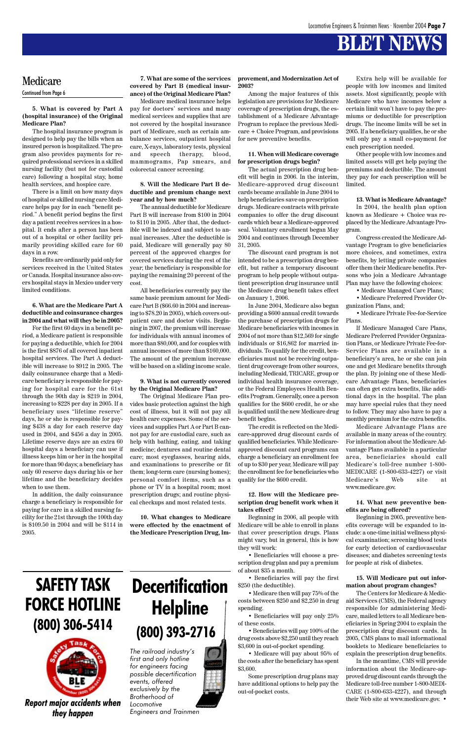## **BLET NEWS**

#### **5. What is covered by Part A (hospital insurance) of the Original Medicare Plan?**

The hospital insurance program is designed to help pay the bills when an insured person is hospitalized. The program also provides payments for required professional services in a skilled nursing facility (but not for custodial care) following a hospital stay, home health services, and hospice care.

There is a limit on how many days of hospital or skilled nursing care Medicare helps pay for in each "benefit period." A benefit period begins the first day a patient receives services in a hospital. It ends after a person has been out of a hospital or other facility primarily providing skilled care for 60 days in a row.

Benefits are ordinarily paid only for services received in the United States or Canada. Hospital insurance also covers hospital stays in Mexico under very limited conditions.

### **6. What are the Medicare Part A deductible and coinsurance charges in 2004 and what will they be in 2005?**

For the first 60 days in a benefit period, a Medicare patient is responsible for paying a deductible, which for 2004 is the first \$876 of all covered inpatient hospital services. The Part A deductible will increase to \$912 in 2005. The daily coinsurance charge that a Medicare beneficiary is responsible for paying for hospital care for the 61st through the 90th day is \$219 in 2004, increasing to \$228 per day in 2005. If a beneficiary uses "lifetime reserve" days, he or she is responsible for paying \$438 a day for each reserve day used in 2004, and \$456 a day in 2005. Lifetime reserve days are an extra 60 hospital days a beneficiary can use if illness keeps him or her in the hospital for more than 90 days; a beneficiary has only 60 reserve days during his or her lifetime and the beneficiary decides when to use them.

In addition, the daily coinsurance charge a beneficiary is responsible for paying for care in a skilled nursing facility for the 21st through the 100th day is \$109.50 in 2004 and will be \$114 in 2005.

### **7. What are some of the services covered by Part B (medical insurance) of the Original Medicare Plan?**

Medicare medical insurance helps pay for doctors' services and many medical services and supplies that are not covered by the hospital insurance part of Medicare, such as certain ambulance services, outpatient hospital care, X-rays, laboratory tests, physical and speech therapy, blood, mammograms, Pap smears, and colorectal cancer screening.

### **8. Will the Medicare Part B deductible and premium change next year and by how much?**

The annual deductible for Medicare Part B will increase from \$100 in 2004 to \$110 in 2005. After that, the deductible will be indexed and subject to annual increases. After the deductible is paid, Medicare will generally pay 80 percent of the approved charges for covered services during the rest of the year; the beneficiary is responsible for paying the remaining 20 percent of the cost.

All beneficiaries currently pay the same basic premium amount for Medicare Part B (\$66.60 in 2004 and increasing to \$78.20 in 2005), which covers outpatient care and doctor visits. Beginning in 2007, the premium will increase for individuals with annual incomes of more than \$80,000, and for couples with annual incomes of more than \$160,000. The amount of the premium increase will be based on a sliding income scale.

#### **9. What is not currently covered by the Original Medicare Plan?**

The Original Medicare Plan provides basic protection against the high cost of illness, but it will not pay all health care expenses. Some of the services and supplies Part A or Part B cannot pay for are custodial care, such as help with bathing, eating, and taking medicine; dentures and routine dental care; most eyeglasses, hearing aids, and examinations to prescribe or fit them; long-term care (nursing homes); personal comfort items, such as a phone or TV in a hospital room; most prescription drugs; and routine physical checkups and most related tests.

**10. What changes to Medicare were effected by the enactment of the Medicare Prescription Drug, Im-**

#### **provement, and Modernization Act of 2003?**

Among the major features of this legislation are provisions for Medicare coverage of prescription drugs, the establishment of a Medicare Advantage Program to replace the previous Medicare + Choice Program, and provisions for new preventive benefits.

#### **11. When will Medicare coverage for prescription drugs begin?**

The actual prescription drug benefit will begin in 2006. In the interim, Medicare-approved drug discount cards became available in June 2004 to help beneficiaries save on prescription drugs. Medicare contracts with private companies to offer the drug discount cards which bear a Medicare-approved seal. Voluntary enrollment began May 2004 and continues through December 31, 2005.

The discount card program is not intended to be a prescription drug benefit, but rather a temporary discount program to help people without outpatient prescription drug insurance until the Medicare drug benefit takes effect on January 1, 2006.

In June 2004, Medicare also began providing a \$600 annual credit towards the purchase of prescription drugs for Medicare beneficiaries with incomes in 2004 of not more than \$12,569 for single individuals or \$16,862 for married individuals. To qualify for the credit, beneficiaries must not be receiving outpatient drug coverage from other sources, including Medicaid, TRICARE, group or individual health insurance coverage, or the Federal Employees Health Benefits Program. Generally, once a person qualifies for the \$600 credit, he or she is qualified until the new Medicare drug benefit begins.

The credit is reflected on the Medicare-approved drug discount cards of qualified beneficiaries. While Medicareapproved discount card programs can charge a beneficiary an enrollment fee of up to \$30 per year, Medicare will pay the enrollment fee for beneficiaries who qualify for the \$600 credit.

#### **12. How will the Medicare prescription drug benefit work when it takes effect?**

Beginning in 2006, all people with Medicare will be able to enroll in plans that cover prescription drugs. Plans might vary, but in general, this is how

they will work:

• Beneficiaries will choose a prescription drug plan and pay a premium of about \$35 a month.

• Beneficiaries will pay the first \$250 (the deductible).

• Medicare then will pay 75% of the costs between \$250 and \$2,250 in drug spending.

• Beneficiaries will pay only 25% of these costs.

• Beneficiaries will pay 100% of the drug costs above \$2,250 until they reach \$3,600 in out-of-pocket spending.

• Medicare will pay about 95% of the costs after the beneficiary has spent \$3,600.

Some prescription drug plans may have additional options to help pay the out-of-pocket costs.

Extra help will be available for people with low incomes and limited assets. Most significantly, people with Medicare who have incomes below a certain limit won't have to pay the premiums or deductible for prescription drugs. The income limits will be set in 2005. If a beneficiary qualifies, he or she will only pay a small co-payment for each prescription needed.

Other people with low incomes and limited assets will get help paying the premiums and deductible. The amount they pay for each prescription will be limited.

#### **13. What is Medicare Advantage?**

In 2004, the health plan option known as Medicare + Choice was replaced by the Medicare Advantage Program.

Congress created the Medicare Advantage Program to give beneficiaries more choices, and sometimes, extra benefits, by letting private companies offer them their Medicare benefits. Persons who join a Medicare Advantage Plan may have the following choices:

• Medicare Managed Care Plans;

• Medicare Preferred Provider Organization Plans, and;

• Medicare Private Fee-for-Service Plans.

If Medicare Managed Care Plans, Medicare Preferred Provider Organization Plans, or Medicare Private Fee-for-Service Plans are available in a beneficiary's area, he or she can join one and get Medicare benefits through the plan. By joining one of these Medicare Advantage Plans, beneficiaries can often get extra benefits, like additional days in the hospital. The plan may have special rules that they need to follow. They may also have to pay a monthly premium for the extra benefits.

Medicare Advantage Plans are available in many areas of the country. For information about the Medicare Advantage Plans available in a particular area, beneficiaries should call Medicare's toll-free number 1-800- MEDICARE (1-800-633-4227) or visit Medicare's Web site at www.medicare.gov.

#### **14. What new preventive benefits are being offered?**

Beginning in 2005, preventive benefits coverage will be expanded to include: a one-time initial wellness physical examination; screening blood tests for early detection of cardiovascular diseases; and diabetes screening tests for people at risk of diabetes.

### **15. Will Medicare put out information about program changes?**

The Centers for Medicare & Medicaid Services (CMS), the Federal agency responsible for administering Medicare, mailed letters to all Medicare beneficiaries in Spring 2004 to explain the prescription drug discount cards. In 2005, CMS plans to mail informational booklets to Medicare beneficiaries to explain the prescription drug benefits. In the meantime, CMS will provide

information about the Medicare-approved drug discount cards through the Medicare toll-free number 1-800-MEDI-CARE (1-800-633-4227), and through their Web site at www.medicare.gov. •

### Medicare Continued from Page 6

## **SAFETY TASK FORCE HOTLINE (800) 306-5414**



*Report major accidents when they happen*

## **Decertification Helpline (800) 393-2716**

*The railroad industry's first and only hotline for engineers facing possible decertification events, offered exclusively by the Brotherhood of Locomotive*

*Engineers and Trainmen*